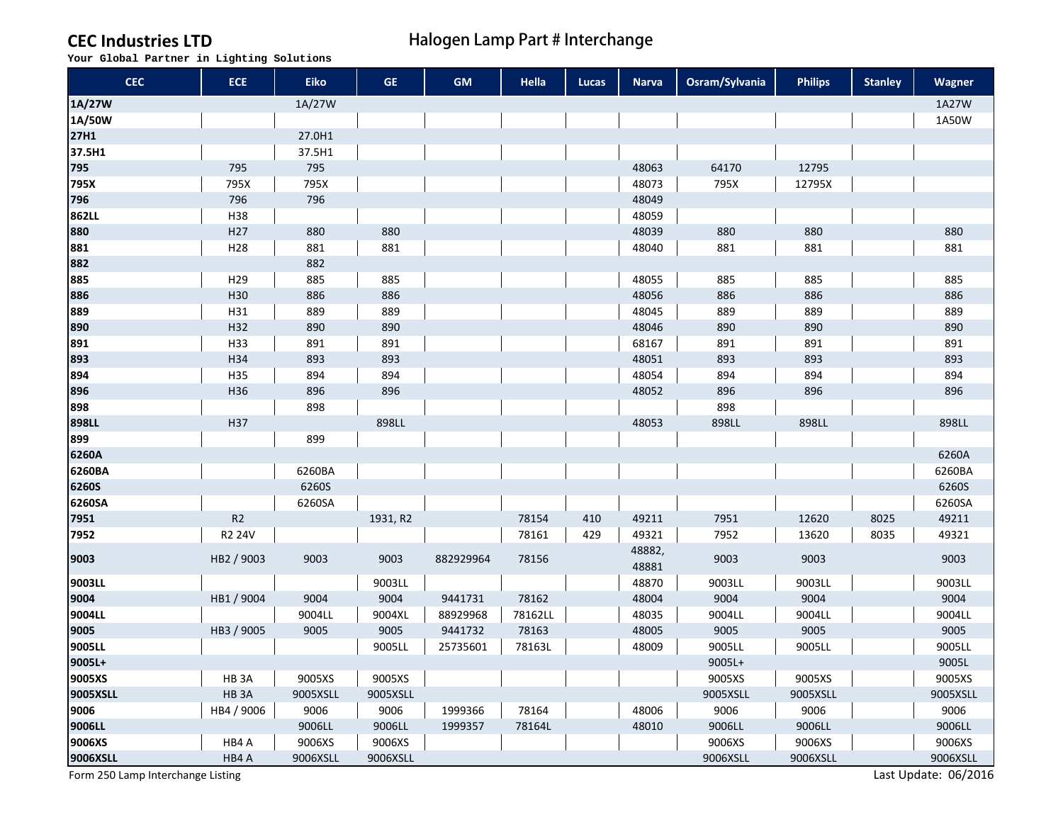### **CEC Industries LTD**

**Halogen Lamp Part # Interchange**

**Your Global Partner in Lighting Solutions**

| <b>CEC</b>                        | <b>ECE</b>        | <b>Eiko</b> | <b>GE</b> | <b>GM</b> | Hella   | Lucas | <b>Narva</b>    | Osram/Sylvania | <b>Philips</b> | <b>Stanley</b> | <b>Wagner</b>        |
|-----------------------------------|-------------------|-------------|-----------|-----------|---------|-------|-----------------|----------------|----------------|----------------|----------------------|
| 1A/27W                            |                   | 1A/27W      |           |           |         |       |                 |                |                |                | 1A27W                |
| 1A/50W                            |                   |             |           |           |         |       |                 |                |                |                | 1A50W                |
| <b>27H1</b>                       |                   | 27.0H1      |           |           |         |       |                 |                |                |                |                      |
| 37.5H1                            |                   | 37.5H1      |           |           |         |       |                 |                |                |                |                      |
| 795                               | 795               | 795         |           |           |         |       | 48063           | 64170          | 12795          |                |                      |
| 795X                              | 795X              | 795X        |           |           |         |       | 48073           | 795X           | 12795X         |                |                      |
| 796                               | 796               | 796         |           |           |         |       | 48049           |                |                |                |                      |
| 862LL                             | H38               |             |           |           |         |       | 48059           |                |                |                |                      |
| 880                               | H <sub>27</sub>   | 880         | 880       |           |         |       | 48039           | 880            | 880            |                | 880                  |
| 881                               | H28               | 881         | 881       |           |         |       | 48040           | 881            | 881            |                | 881                  |
| 882                               |                   | 882         |           |           |         |       |                 |                |                |                |                      |
| 885                               | H <sub>29</sub>   | 885         | 885       |           |         |       | 48055           | 885            | 885            |                | 885                  |
| 886                               | H30               | 886         | 886       |           |         |       | 48056           | 886            | 886            |                | 886                  |
| 889                               | H31               | 889         | 889       |           |         |       | 48045           | 889            | 889            |                | 889                  |
| 890                               | H32               | 890         | 890       |           |         |       | 48046           | 890            | 890            |                | 890                  |
| 891                               | H33               | 891         | 891       |           |         |       | 68167           | 891            | 891            |                | 891                  |
| 893                               | H34               | 893         | 893       |           |         |       | 48051           | 893            | 893            |                | 893                  |
| 894                               | H35               | 894         | 894       |           |         |       | 48054           | 894            | 894            |                | 894                  |
| 896                               | H36               | 896         | 896       |           |         |       | 48052           | 896            | 896            |                | 896                  |
| 898                               |                   | 898         |           |           |         |       |                 | 898            |                |                |                      |
| 898LL                             | H37               |             | 898LL     |           |         |       | 48053           | 898LL          | 898LL          |                | 898LL                |
| 899                               |                   | 899         |           |           |         |       |                 |                |                |                |                      |
| 6260A                             |                   |             |           |           |         |       |                 |                |                |                | 6260A                |
| 6260BA                            |                   | 6260BA      |           |           |         |       |                 |                |                |                | 6260BA               |
| 6260S                             |                   | 6260S       |           |           |         |       |                 |                |                |                | 6260S                |
| 6260SA                            |                   | 6260SA      |           |           |         |       |                 |                |                |                | 6260SA               |
| 7951                              | R2                |             | 1931, R2  |           | 78154   | 410   | 49211           | 7951           | 12620          | 8025           | 49211                |
| 7952                              | R2 24V            |             |           |           | 78161   | 429   | 49321           | 7952           | 13620          | 8035           | 49321                |
| 9003                              | HB2 / 9003        | 9003        | 9003      | 882929964 | 78156   |       | 48882,<br>48881 | 9003           | 9003           |                | 9003                 |
| 9003LL                            |                   |             | 9003LL    |           |         |       | 48870           | 9003LL         | 9003LL         |                | 9003LL               |
| 9004                              | HB1 / 9004        | 9004        | 9004      | 9441731   | 78162   |       | 48004           | 9004           | 9004           |                | 9004                 |
| 9004LL                            |                   | 9004LL      | 9004XL    | 88929968  | 78162LL |       | 48035           | 9004LL         | 9004LL         |                | 9004LL               |
| 9005                              | HB3 / 9005        | 9005        | 9005      | 9441732   | 78163   |       | 48005           | 9005           | 9005           |                | 9005                 |
| 9005LL                            |                   |             | 9005LL    | 25735601  | 78163L  |       | 48009           | 9005LL         | 9005LL         |                | 9005LL               |
| 9005L+                            |                   |             |           |           |         |       |                 | 9005L+         |                |                | 9005L                |
| 9005XS                            | HB <sub>3</sub> A | 9005XS      | 9005XS    |           |         |       |                 | 9005XS         | 9005XS         |                | 9005XS               |
| 9005XSLL                          | HB <sub>3</sub> A | 9005XSLL    | 9005XSLL  |           |         |       |                 | 9005XSLL       | 9005XSLL       |                | 9005XSLL             |
| 9006                              | HB4 / 9006        | 9006        | 9006      | 1999366   | 78164   |       | 48006           | 9006           | 9006           |                | 9006                 |
| 9006LL                            |                   | 9006LL      | 9006LL    | 1999357   | 78164L  |       | 48010           | 9006LL         | 9006LL         |                | 9006LL               |
| 9006XS                            | HB4 A             | 9006XS      | 9006XS    |           |         |       |                 | 9006XS         | 9006XS         |                | 9006XS               |
| 9006XSLL                          | HB4 A             | 9006XSLL    | 9006XSLL  |           |         |       |                 | 9006XSLL       | 9006XSLL       |                | 9006XSLL             |
| Form 250 Lamp Interchange Listing |                   |             |           |           |         |       |                 |                |                |                | Last Update: 06/2016 |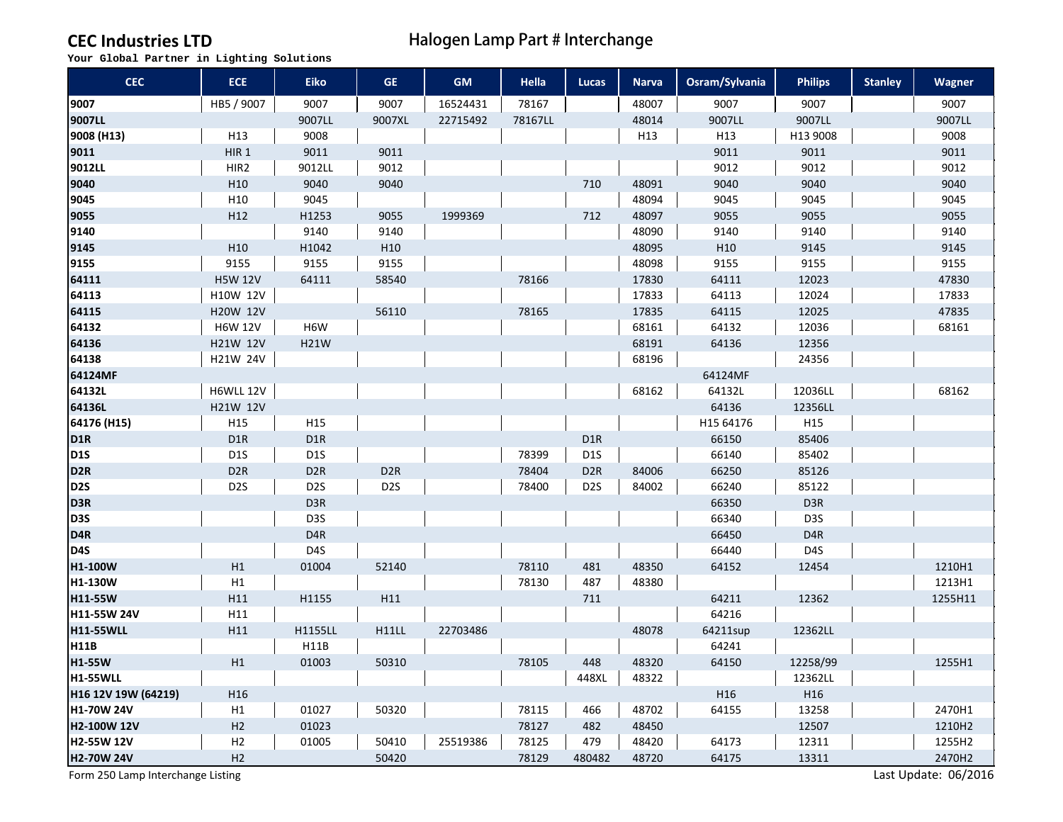### **CEC Industries LTD**

# **Halogen Lamp Part # Interchange**

**Your Global Partner in Lighting Solutions**

| <b>CEC</b>                        | <b>ECE</b>       | <b>Eiko</b>      | <b>GE</b>        | GM       | Hella   | Lucas            | <b>Narva</b> | Osram/Sylvania  | <b>Philips</b>   | <b>Stanley</b> | Wagner               |
|-----------------------------------|------------------|------------------|------------------|----------|---------|------------------|--------------|-----------------|------------------|----------------|----------------------|
| 9007                              | HB5 / 9007       | 9007             | 9007             | 16524431 | 78167   |                  | 48007        | 9007            | 9007             |                | 9007                 |
| 9007LL                            |                  | 9007LL           | 9007XL           | 22715492 | 78167LL |                  | 48014        | 9007LL          | 9007LL           |                | 9007LL               |
| 9008 (H13)                        | H13              | 9008             |                  |          |         |                  | H13          | H13             | H13 9008         |                | 9008                 |
| 9011                              | HIR <sub>1</sub> | 9011             | 9011             |          |         |                  |              | 9011            | 9011             |                | 9011                 |
| 9012LL                            | HIR2             | 9012LL           | 9012             |          |         |                  |              | 9012            | 9012             |                | 9012                 |
| 9040                              | H <sub>10</sub>  | 9040             | 9040             |          |         | 710              | 48091        | 9040            | 9040             |                | 9040                 |
| 9045                              | H <sub>10</sub>  | 9045             |                  |          |         |                  | 48094        | 9045            | 9045             |                | 9045                 |
| 9055                              | H12              | H1253            | 9055             | 1999369  |         | 712              | 48097        | 9055            | 9055             |                | 9055                 |
| 9140                              |                  | 9140             | 9140             |          |         |                  | 48090        | 9140            | 9140             |                | 9140                 |
| 9145                              | H10              | H1042            | H <sub>10</sub>  |          |         |                  | 48095        | H <sub>10</sub> | 9145             |                | 9145                 |
| 9155                              | 9155             | 9155             | 9155             |          |         |                  | 48098        | 9155            | 9155             |                | 9155                 |
| 64111                             | <b>H5W 12V</b>   | 64111            | 58540            |          | 78166   |                  | 17830        | 64111           | 12023            |                | 47830                |
| 64113                             | H10W 12V         |                  |                  |          |         |                  | 17833        | 64113           | 12024            |                | 17833                |
| 64115                             | H20W 12V         |                  | 56110            |          | 78165   |                  | 17835        | 64115           | 12025            |                | 47835                |
| 64132                             | <b>H6W 12V</b>   | H <sub>6</sub> W |                  |          |         |                  | 68161        | 64132           | 12036            |                | 68161                |
| 64136                             | H21W 12V         | <b>H21W</b>      |                  |          |         |                  | 68191        | 64136           | 12356            |                |                      |
| 64138                             | H21W 24V         |                  |                  |          |         |                  | 68196        |                 | 24356            |                |                      |
| 64124MF                           |                  |                  |                  |          |         |                  |              | 64124MF         |                  |                |                      |
| 64132L                            | <b>H6WLL 12V</b> |                  |                  |          |         |                  | 68162        | 64132L          | 12036LL          |                | 68162                |
| 64136L                            | H21W 12V         |                  |                  |          |         |                  |              | 64136           | 12356LL          |                |                      |
| 64176 (H15)                       | H15              | H15              |                  |          |         |                  |              | H15 64176       | H15              |                |                      |
| D <sub>1</sub> R                  | D <sub>1</sub> R | D <sub>1</sub> R |                  |          |         | D <sub>1</sub> R |              | 66150           | 85406            |                |                      |
| <b>D1S</b>                        | D <sub>1</sub> S | D <sub>1</sub> S |                  |          | 78399   | D <sub>1</sub> S |              | 66140           | 85402            |                |                      |
| D <sub>2R</sub>                   | D <sub>2R</sub>  | D <sub>2R</sub>  | D <sub>2R</sub>  |          | 78404   | D <sub>2R</sub>  | 84006        | 66250           | 85126            |                |                      |
| D <sub>2</sub> S                  | D <sub>2</sub> S | D <sub>2</sub> S | D <sub>2</sub> S |          | 78400   | D <sub>2</sub> S | 84002        | 66240           | 85122            |                |                      |
| D <sub>3R</sub>                   |                  | D <sub>3</sub> R |                  |          |         |                  |              | 66350           | D <sub>3R</sub>  |                |                      |
| D <sub>3</sub> S                  |                  | D <sub>3</sub> S |                  |          |         |                  |              | 66340           | D <sub>3</sub> S |                |                      |
| D <sub>4R</sub>                   |                  | D <sub>4</sub> R |                  |          |         |                  |              | 66450           | D <sub>4</sub> R |                |                      |
| D4S                               |                  | D <sub>4</sub> S |                  |          |         |                  |              | 66440           | D <sub>4</sub> S |                |                      |
| H1-100W                           | H1               | 01004            | 52140            |          | 78110   | 481              | 48350        | 64152           | 12454            |                | 1210H1               |
| H1-130W                           | H1               |                  |                  |          | 78130   | 487              | 48380        |                 |                  |                | 1213H1               |
| H11-55W                           | H11              | H1155            | H11              |          |         | 711              |              | 64211           | 12362            |                | 1255H11              |
| H11-55W 24V                       | H11              |                  |                  |          |         |                  |              | 64216           |                  |                |                      |
| <b>H11-55WLL</b>                  | H11              | H1155LL          | H11LL            | 22703486 |         |                  | 48078        | 64211sup        | 12362LL          |                |                      |
| <b>H11B</b>                       |                  | H11B             |                  |          |         |                  |              | 64241           |                  |                |                      |
| H1-55W                            | H1               | 01003            | 50310            |          | 78105   | 448              | 48320        | 64150           | 12258/99         |                | 1255H1               |
| <b>H1-55WLL</b>                   |                  |                  |                  |          |         | 448XL            | 48322        |                 | 12362LL          |                |                      |
| H16 12V 19W (64219)               | H16              |                  |                  |          |         |                  |              | H16             | H16              |                |                      |
| H1-70W 24V                        | H1               | 01027            | 50320            |          | 78115   | 466              | 48702        | 64155           | 13258            |                | 2470H1               |
| H2-100W 12V                       | H2               | 01023            |                  |          | 78127   | 482              | 48450        |                 | 12507            |                | 1210H2               |
| H2-55W 12V                        | H2               | 01005            | 50410            | 25519386 | 78125   | 479              | 48420        | 64173           | 12311            |                | 1255H2               |
| <b>H2-70W 24V</b>                 | H2               |                  | 50420            |          | 78129   | 480482           | 48720        | 64175           | 13311            |                | 2470H2               |
| Form 250 Lamp Interchange Listing |                  |                  |                  |          |         |                  |              |                 |                  |                | Last Update: 06/2016 |